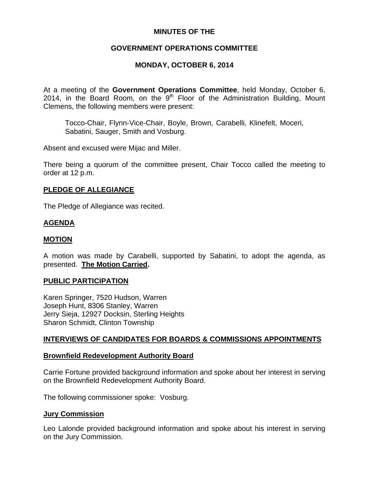## **MINUTES OF THE**

# **GOVERNMENT OPERATIONS COMMITTEE**

# **MONDAY, OCTOBER 6, 2014**

At a meeting of the **Government Operations Committee**, held Monday, October 6, 2014, in the Board Room, on the  $9<sup>th</sup>$  Floor of the Administration Building, Mount Clemens, the following members were present:

Tocco-Chair, Flynn-Vice-Chair, Boyle, Brown, Carabelli, Klinefelt, Moceri, Sabatini, Sauger, Smith and Vosburg.

Absent and excused were Mijac and Miller.

There being a quorum of the committee present, Chair Tocco called the meeting to order at 12 p.m.

## **PLEDGE OF ALLEGIANCE**

The Pledge of Allegiance was recited.

## **AGENDA**

## **MOTION**

A motion was made by Carabelli, supported by Sabatini, to adopt the agenda, as presented. **The Motion Carried.** 

## **PUBLIC PARTICIPATION**

Karen Springer, 7520 Hudson, Warren Joseph Hunt, 8306 Stanley, Warren Jerry Sieja, 12927 Docksin, Sterling Heights Sharon Schmidt, Clinton Township

## **INTERVIEWS OF CANDIDATES FOR BOARDS & COMMISSIONS APPOINTMENTS**

#### **Brownfield Redevelopment Authority Board**

Carrie Fortune provided background information and spoke about her interest in serving on the Brownfield Redevelopment Authority Board.

The following commissioner spoke: Vosburg.

## **Jury Commission**

Leo Lalonde provided background information and spoke about his interest in serving on the Jury Commission.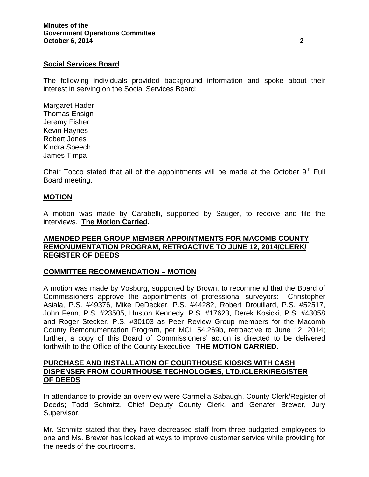## **Social Services Board**

The following individuals provided background information and spoke about their interest in serving on the Social Services Board:

Margaret Hader Thomas Ensign Jeremy Fisher Kevin Haynes Robert Jones Kindra Speech James Timpa

Chair Tocco stated that all of the appointments will be made at the October  $9<sup>th</sup>$  Full Board meeting.

#### **MOTION**

A motion was made by Carabelli, supported by Sauger, to receive and file the interviews. **The Motion Carried.** 

### **AMENDED PEER GROUP MEMBER APPOINTMENTS FOR MACOMB COUNTY REMONUMENTATION PROGRAM, RETROACTIVE TO JUNE 12, 2014/CLERK/ REGISTER OF DEEDS**

#### **COMMITTEE RECOMMENDATION – MOTION**

A motion was made by Vosburg, supported by Brown, to recommend that the Board of Commissioners approve the appointments of professional surveyors: Christopher Asiala, P.S. #49376, Mike DeDecker, P.S. #44282, Robert Drouillard, P.S. #52517, John Fenn, P.S. #23505, Huston Kennedy, P.S. #17623, Derek Kosicki, P.S. #43058 and Roger Stecker, P.S. #30103 as Peer Review Group members for the Macomb County Remonumentation Program, per MCL 54.269b, retroactive to June 12, 2014; further, a copy of this Board of Commissioners' action is directed to be delivered forthwith to the Office of the County Executive. **THE MOTION CARRIED.**

#### **PURCHASE AND INSTALLATION OF COURTHOUSE KIOSKS WITH CASH DISPENSER FROM COURTHOUSE TECHNOLOGIES, LTD./CLERK/REGISTER OF DEEDS**

In attendance to provide an overview were Carmella Sabaugh, County Clerk/Register of Deeds; Todd Schmitz, Chief Deputy County Clerk, and Genafer Brewer, Jury Supervisor.

Mr. Schmitz stated that they have decreased staff from three budgeted employees to one and Ms. Brewer has looked at ways to improve customer service while providing for the needs of the courtrooms.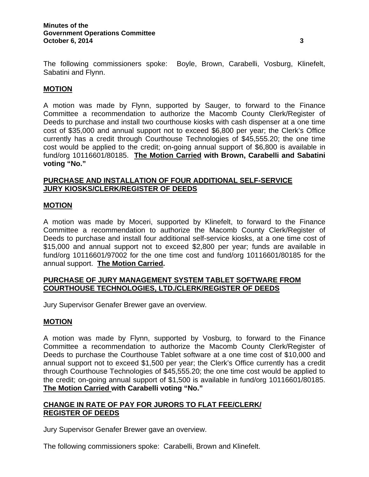The following commissioners spoke: Boyle, Brown, Carabelli, Vosburg, Klinefelt, Sabatini and Flynn.

## **MOTION**

A motion was made by Flynn, supported by Sauger, to forward to the Finance Committee a recommendation to authorize the Macomb County Clerk/Register of Deeds to purchase and install two courthouse kiosks with cash dispenser at a one time cost of \$35,000 and annual support not to exceed \$6,800 per year; the Clerk's Office currently has a credit through Courthouse Technologies of \$45,555.20; the one time cost would be applied to the credit; on-going annual support of \$6,800 is available in fund/org 10116601/80185. **The Motion Carried with Brown, Carabelli and Sabatini voting "No."** 

## **PURCHASE AND INSTALLATION OF FOUR ADDITIONAL SELF-SERVICE JURY KIOSKS/CLERK/REGISTER OF DEEDS**

#### **MOTION**

A motion was made by Moceri, supported by Klinefelt, to forward to the Finance Committee a recommendation to authorize the Macomb County Clerk/Register of Deeds to purchase and install four additional self-service kiosks, at a one time cost of \$15,000 and annual support not to exceed \$2,800 per year; funds are available in fund/org 10116601/97002 for the one time cost and fund/org 10116601/80185 for the annual support. **The Motion Carried.** 

## **PURCHASE OF JURY MANAGEMENT SYSTEM TABLET SOFTWARE FROM COURTHOUSE TECHNOLOGIES, LTD./CLERK/REGISTER OF DEEDS**

Jury Supervisor Genafer Brewer gave an overview.

#### **MOTION**

A motion was made by Flynn, supported by Vosburg, to forward to the Finance Committee a recommendation to authorize the Macomb County Clerk/Register of Deeds to purchase the Courthouse Tablet software at a one time cost of \$10,000 and annual support not to exceed \$1,500 per year; the Clerk's Office currently has a credit through Courthouse Technologies of \$45,555.20; the one time cost would be applied to the credit; on-going annual support of \$1,500 is available in fund/org 10116601/80185. **The Motion Carried with Carabelli voting "No."** 

## **CHANGE IN RATE OF PAY FOR JURORS TO FLAT FEE/CLERK/ REGISTER OF DEEDS**

Jury Supervisor Genafer Brewer gave an overview.

The following commissioners spoke: Carabelli, Brown and Klinefelt.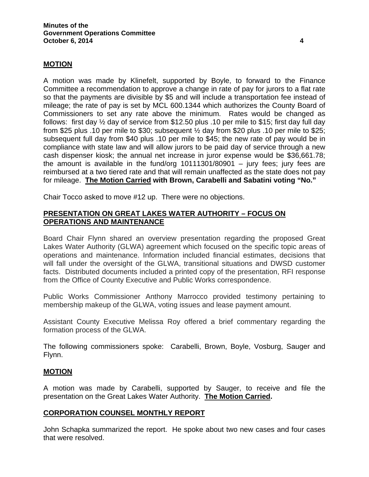## **MOTION**

A motion was made by Klinefelt, supported by Boyle, to forward to the Finance Committee a recommendation to approve a change in rate of pay for jurors to a flat rate so that the payments are divisible by \$5 and will include a transportation fee instead of mileage; the rate of pay is set by MCL 600.1344 which authorizes the County Board of Commissioners to set any rate above the minimum. Rates would be changed as follows: first day ½ day of service from \$12.50 plus .10 per mile to \$15; first day full day from \$25 plus .10 per mile to \$30; subsequent  $\frac{1}{2}$  day from \$20 plus .10 per mile to \$25; subsequent full day from \$40 plus .10 per mile to \$45; the new rate of pay would be in compliance with state law and will allow jurors to be paid day of service through a new cash dispenser kiosk; the annual net increase in juror expense would be \$36,661.78; the amount is available in the fund/org  $10111301/80901 - jury$  fees; jury fees are reimbursed at a two tiered rate and that will remain unaffected as the state does not pay for mileage. **The Motion Carried with Brown, Carabelli and Sabatini voting "No."** 

Chair Tocco asked to move #12 up. There were no objections.

## **PRESENTATION ON GREAT LAKES WATER AUTHORITY – FOCUS ON OPERATIONS AND MAINTENANCE**

Board Chair Flynn shared an overview presentation regarding the proposed Great Lakes Water Authority (GLWA) agreement which focused on the specific topic areas of operations and maintenance. Information included financial estimates, decisions that will fall under the oversight of the GLWA, transitional situations and DWSD customer facts. Distributed documents included a printed copy of the presentation, RFI response from the Office of County Executive and Public Works correspondence.

Public Works Commissioner Anthony Marrocco provided testimony pertaining to membership makeup of the GLWA, voting issues and lease payment amount.

Assistant County Executive Melissa Roy offered a brief commentary regarding the formation process of the GLWA.

The following commissioners spoke: Carabelli, Brown, Boyle, Vosburg, Sauger and Flynn.

#### **MOTION**

A motion was made by Carabelli, supported by Sauger, to receive and file the presentation on the Great Lakes Water Authority. **The Motion Carried.** 

#### **CORPORATION COUNSEL MONTHLY REPORT**

John Schapka summarized the report. He spoke about two new cases and four cases that were resolved.